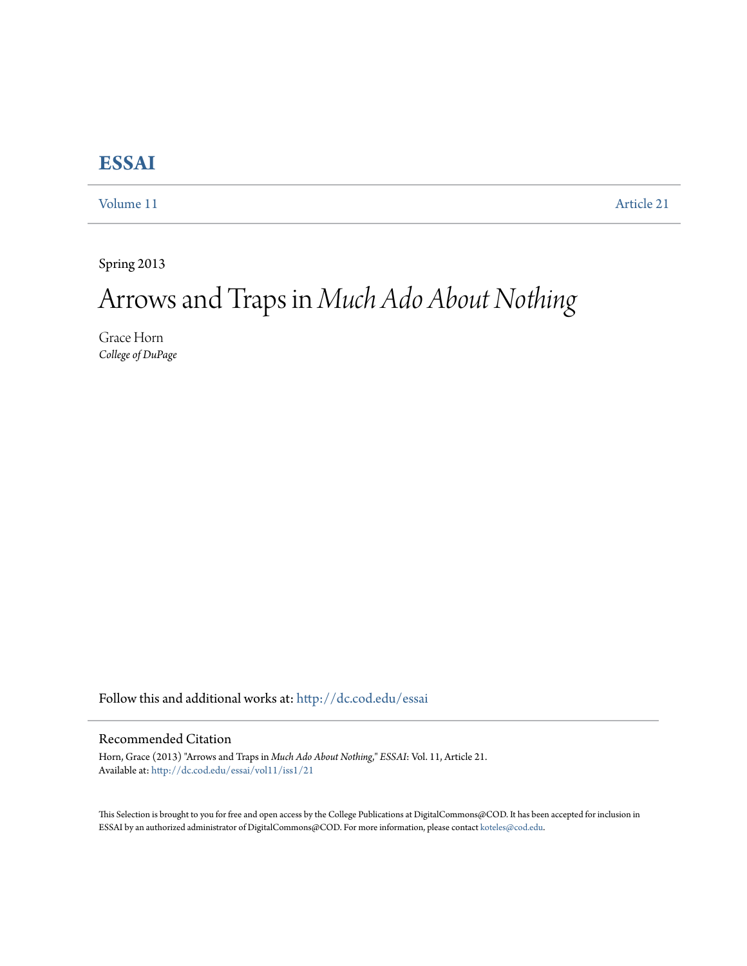## **[ESSAI](http://dc.cod.edu/essai?utm_source=dc.cod.edu%2Fessai%2Fvol11%2Fiss1%2F21&utm_medium=PDF&utm_campaign=PDFCoverPages)**

[Volume 11](http://dc.cod.edu/essai/vol11?utm_source=dc.cod.edu%2Fessai%2Fvol11%2Fiss1%2F21&utm_medium=PDF&utm_campaign=PDFCoverPages) [Article 21](http://dc.cod.edu/essai/vol11/iss1/21?utm_source=dc.cod.edu%2Fessai%2Fvol11%2Fiss1%2F21&utm_medium=PDF&utm_campaign=PDFCoverPages)

Spring 2013

## Arrows and Traps in *Much Ado About Nothing*

Grace Horn *College of DuPage*

Follow this and additional works at: [http://dc.cod.edu/essai](http://dc.cod.edu/essai?utm_source=dc.cod.edu%2Fessai%2Fvol11%2Fiss1%2F21&utm_medium=PDF&utm_campaign=PDFCoverPages)

## Recommended Citation

Horn, Grace (2013) "Arrows and Traps in *Much Ado About Nothing*," *ESSAI*: Vol. 11, Article 21. Available at: [http://dc.cod.edu/essai/vol11/iss1/21](http://dc.cod.edu/essai/vol11/iss1/21?utm_source=dc.cod.edu%2Fessai%2Fvol11%2Fiss1%2F21&utm_medium=PDF&utm_campaign=PDFCoverPages)

This Selection is brought to you for free and open access by the College Publications at DigitalCommons@COD. It has been accepted for inclusion in ESSAI by an authorized administrator of DigitalCommons@COD. For more information, please contact [koteles@cod.edu](mailto:koteles@cod.edu).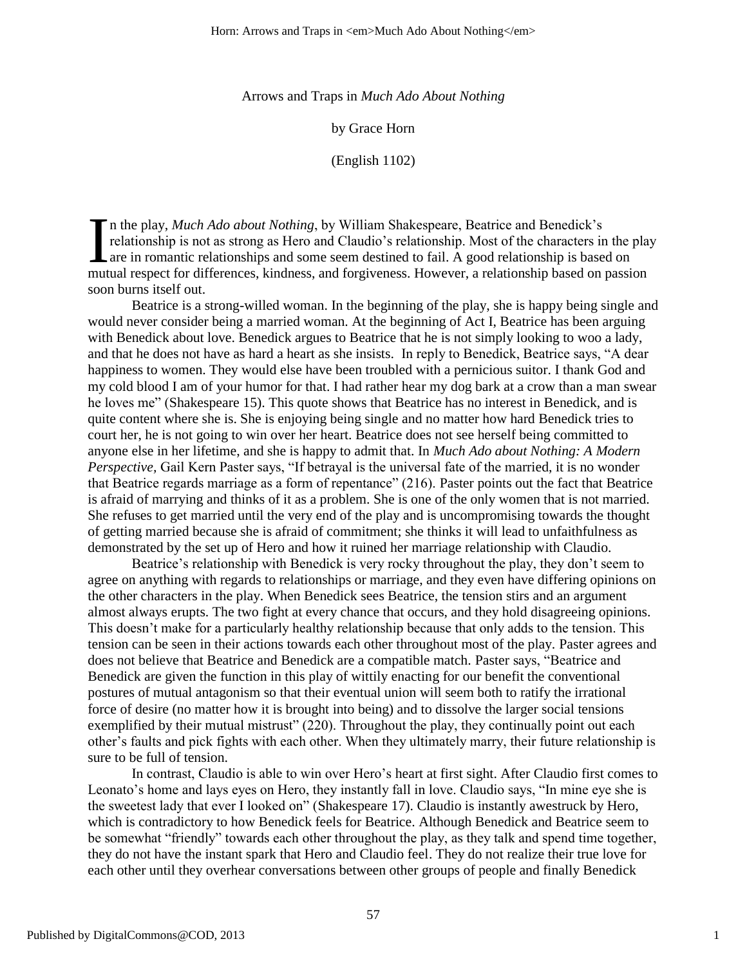Arrows and Traps in *Much Ado About Nothing* 

by Grace Horn

(English 1102)

n the play, *Much Ado about Nothing*, by William Shakespeare, Beatrice and Benedick's relationship is not as strong as Hero and Claudio's relationship. Most of the characters in the play Lare in romantic relationships and some seem destined to fail. A good relationship is based on In the play, *Much Ado about Nothing*, by William Shakespeare, Beatrice and Benedick's relationship is not as strong as Hero and Claudio's relationship. Most of the characters in the plat are in romantic relationships and soon burns itself out.

Beatrice is a strong-willed woman. In the beginning of the play, she is happy being single and would never consider being a married woman. At the beginning of Act I, Beatrice has been arguing with Benedick about love. Benedick argues to Beatrice that he is not simply looking to woo a lady, and that he does not have as hard a heart as she insists. In reply to Benedick, Beatrice says, "A dear happiness to women. They would else have been troubled with a pernicious suitor. I thank God and my cold blood I am of your humor for that. I had rather hear my dog bark at a crow than a man swear he loves me" (Shakespeare 15). This quote shows that Beatrice has no interest in Benedick, and is quite content where she is. She is enjoying being single and no matter how hard Benedick tries to court her, he is not going to win over her heart. Beatrice does not see herself being committed to anyone else in her lifetime, and she is happy to admit that. In *Much Ado about Nothing: A Modern Perspective*, Gail Kern Paster says, "If betrayal is the universal fate of the married, it is no wonder that Beatrice regards marriage as a form of repentance" (216). Paster points out the fact that Beatrice is afraid of marrying and thinks of it as a problem. She is one of the only women that is not married. She refuses to get married until the very end of the play and is uncompromising towards the thought of getting married because she is afraid of commitment; she thinks it will lead to unfaithfulness as demonstrated by the set up of Hero and how it ruined her marriage relationship with Claudio.

Beatrice's relationship with Benedick is very rocky throughout the play, they don't seem to agree on anything with regards to relationships or marriage, and they even have differing opinions on the other characters in the play. When Benedick sees Beatrice, the tension stirs and an argument almost always erupts. The two fight at every chance that occurs, and they hold disagreeing opinions. This doesn't make for a particularly healthy relationship because that only adds to the tension. This tension can be seen in their actions towards each other throughout most of the play. Paster agrees and does not believe that Beatrice and Benedick are a compatible match. Paster says, "Beatrice and Benedick are given the function in this play of wittily enacting for our benefit the conventional postures of mutual antagonism so that their eventual union will seem both to ratify the irrational force of desire (no matter how it is brought into being) and to dissolve the larger social tensions exemplified by their mutual mistrust" (220). Throughout the play, they continually point out each other's faults and pick fights with each other. When they ultimately marry, their future relationship is sure to be full of tension.

In contrast, Claudio is able to win over Hero's heart at first sight. After Claudio first comes to Leonato's home and lays eyes on Hero, they instantly fall in love. Claudio says, "In mine eye she is the sweetest lady that ever I looked on" (Shakespeare 17). Claudio is instantly awestruck by Hero, which is contradictory to how Benedick feels for Beatrice. Although Benedick and Beatrice seem to be somewhat "friendly" towards each other throughout the play, as they talk and spend time together, they do not have the instant spark that Hero and Claudio feel. They do not realize their true love for each other until they overhear conversations between other groups of people and finally Benedick

1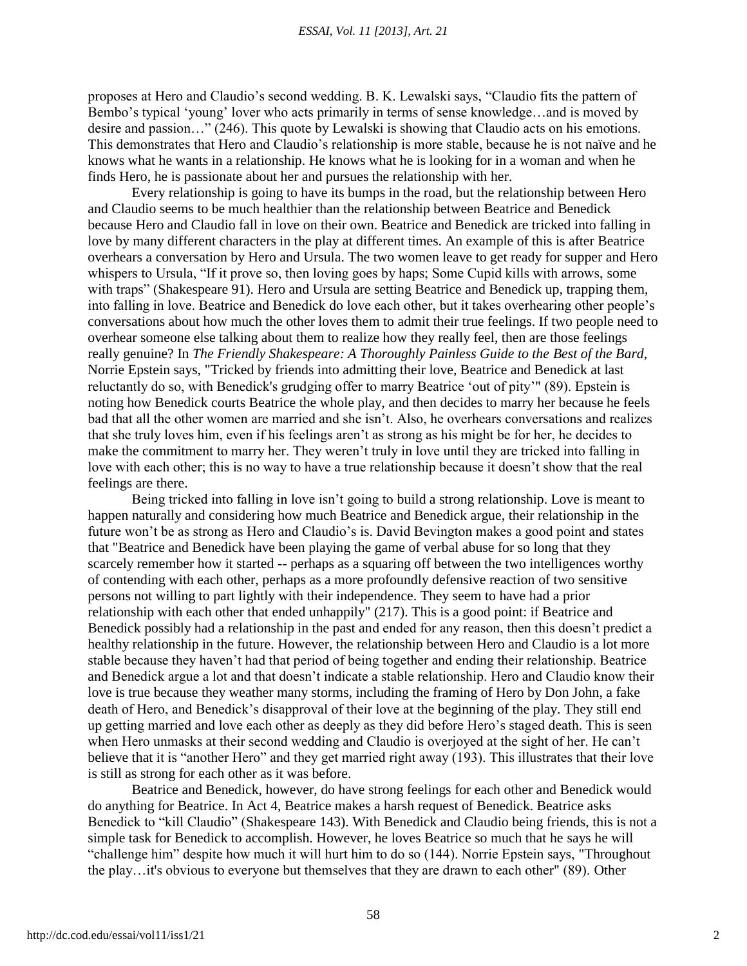proposes at Hero and Claudio's second wedding. B. K. Lewalski says, "Claudio fits the pattern of Bembo's typical 'young' lover who acts primarily in terms of sense knowledge...and is moved by desire and passion..." (246). This quote by Lewalski is showing that Claudio acts on his emotions. This demonstrates that Hero and Claudio's relationship is more stable, because he is not naïve and he knows what he wants in a relationship. He knows what he is looking for in a woman and when he finds Hero, he is passionate about her and pursues the relationship with her.

Every relationship is going to have its bumps in the road, but the relationship between Hero and Claudio seems to be much healthier than the relationship between Beatrice and Benedick because Hero and Claudio fall in love on their own. Beatrice and Benedick are tricked into falling in love by many different characters in the play at different times. An example of this is after Beatrice overhears a conversation by Hero and Ursula. The two women leave to get ready for supper and Hero whispers to Ursula, "If it prove so, then loving goes by haps; Some Cupid kills with arrows, some with traps" (Shakespeare 91). Hero and Ursula are setting Beatrice and Benedick up, trapping them, into falling in love. Beatrice and Benedick do love each other, but it takes overhearing other people's conversations about how much the other loves them to admit their true feelings. If two people need to overhear someone else talking about them to realize how they really feel, then are those feelings really genuine? In *The Friendly Shakespeare: A Thoroughly Painless Guide to the Best of the Bard,* Norrie Epstein says, "Tricked by friends into admitting their love, Beatrice and Benedick at last reluctantly do so, with Benedick's grudging offer to marry Beatrice 'out of pity'" (89). Epstein is noting how Benedick courts Beatrice the whole play, and then decides to marry her because he feels bad that all the other women are married and she isn't. Also, he overhears conversations and realizes that she truly loves him, even if his feelings aren't as strong as his might be for her, he decides to make the commitment to marry her. They weren't truly in love until they are tricked into falling in love with each other; this is no way to have a true relationship because it doesn't show that the real feelings are there.

Being tricked into falling in love isn't going to build a strong relationship. Love is meant to happen naturally and considering how much Beatrice and Benedick argue, their relationship in the future won't be as strong as Hero and Claudio's is. David Bevington makes a good point and states that "Beatrice and Benedick have been playing the game of verbal abuse for so long that they scarcely remember how it started -- perhaps as a squaring off between the two intelligences worthy of contending with each other, perhaps as a more profoundly defensive reaction of two sensitive persons not willing to part lightly with their independence. They seem to have had a prior relationship with each other that ended unhappily" (217). This is a good point: if Beatrice and Benedick possibly had a relationship in the past and ended for any reason, then this doesn't predict a healthy relationship in the future. However, the relationship between Hero and Claudio is a lot more stable because they haven't had that period of being together and ending their relationship. Beatrice and Benedick argue a lot and that doesn't indicate a stable relationship. Hero and Claudio know their love is true because they weather many storms, including the framing of Hero by Don John, a fake death of Hero, and Benedick's disapproval of their love at the beginning of the play. They still end up getting married and love each other as deeply as they did before Hero's staged death. This is seen when Hero unmasks at their second wedding and Claudio is overjoyed at the sight of her. He can't believe that it is "another Hero" and they get married right away (193). This illustrates that their love is still as strong for each other as it was before.

Beatrice and Benedick, however, do have strong feelings for each other and Benedick would do anything for Beatrice. In Act 4, Beatrice makes a harsh request of Benedick. Beatrice asks Benedick to "kill Claudio" (Shakespeare 143). With Benedick and Claudio being friends, this is not a simple task for Benedick to accomplish. However, he loves Beatrice so much that he says he will "challenge him" despite how much it will hurt him to do so (144). Norrie Epstein says, "Throughout the play…it's obvious to everyone but themselves that they are drawn to each other" (89). Other